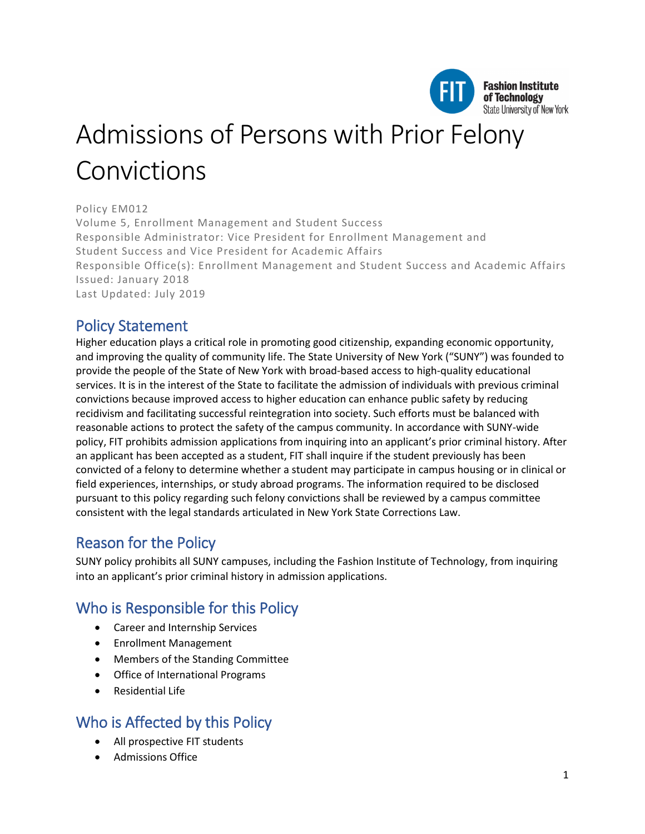

# Admissions of Persons with Prior Felony Convictions

#### Policy EM012

Volume 5, Enrollment Management and Student Success Responsible Administrator: Vice President for Enrollment Management and Student Success and Vice President for Academic Affairs Responsible Office(s): Enrollment Management and Student Success and Academic Affairs Issued: January 2018 Last Updated: July 2019

# Policy Statement

Higher education plays a critical role in promoting good citizenship, expanding economic opportunity, and improving the quality of community life. The State University of New York ("SUNY") was founded to provide the people of the State of New York with broad-based access to high-quality educational services. It is in the interest of the State to facilitate the admission of individuals with previous criminal convictions because improved access to higher education can enhance public safety by reducing recidivism and facilitating successful reintegration into society. Such efforts must be balanced with reasonable actions to protect the safety of the campus community. In accordance with SUNY-wide policy, FIT prohibits admission applications from inquiring into an applicant's prior criminal history. After an applicant has been accepted as a student, FIT shall inquire if the student previously has been convicted of a felony to determine whether a student may participate in campus housing or in clinical or field experiences, internships, or study abroad programs. The information required to be disclosed pursuant to this policy regarding such felony convictions shall be reviewed by a campus committee consistent with the legal standards articulated in New York State Corrections Law.

# Reason for the Policy

SUNY policy prohibits all SUNY campuses, including the Fashion Institute of Technology, from inquiring into an applicant's prior criminal history in admission applications.

# Who is Responsible for this Policy

- Career and Internship Services
- Enrollment Management
- Members of the Standing Committee
- Office of International Programs
- Residential Life

# Who is Affected by this Policy

- All prospective FIT students
- Admissions Office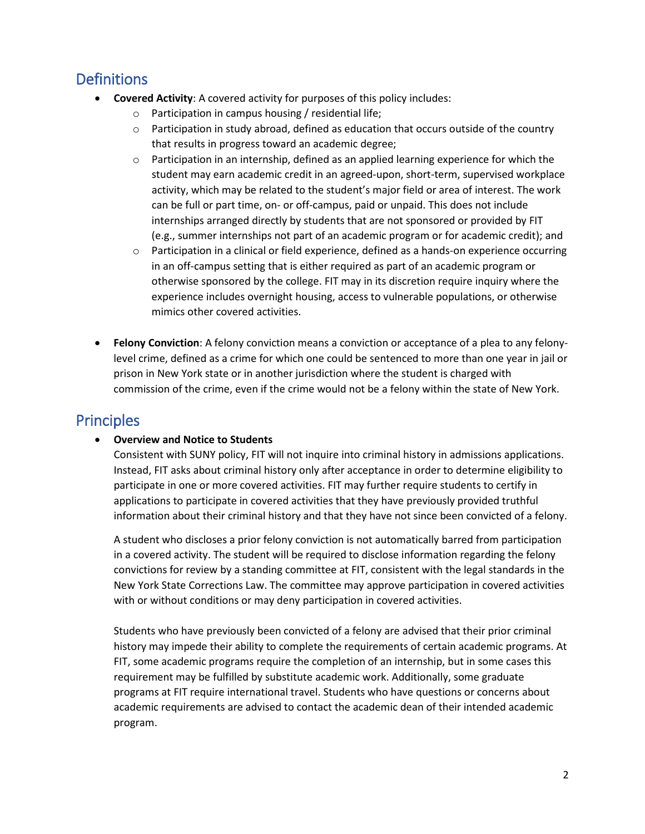# **Definitions**

- **Covered Activity**: A covered activity for purposes of this policy includes:
	- o Participation in campus housing / residential life;
	- $\circ$  Participation in study abroad, defined as education that occurs outside of the country that results in progress toward an academic degree;
	- $\circ$  Participation in an internship, defined as an applied learning experience for which the student may earn academic credit in an agreed-upon, short-term, supervised workplace activity, which may be related to the student's major field or area of interest. The work can be full or part time, on- or off-campus, paid or unpaid. This does not include internships arranged directly by students that are not sponsored or provided by FIT (e.g., summer internships not part of an academic program or for academic credit); and
	- o Participation in a clinical or field experience, defined as a hands-on experience occurring in an off-campus setting that is either required as part of an academic program or otherwise sponsored by the college. FIT may in its discretion require inquiry where the experience includes overnight housing, access to vulnerable populations, or otherwise mimics other covered activities.
- **Felony Conviction**: A felony conviction means a conviction or acceptance of a plea to any felonylevel crime, defined as a crime for which one could be sentenced to more than one year in jail or prison in New York state or in another jurisdiction where the student is charged with commission of the crime, even if the crime would not be a felony within the state of New York.

# **Principles**

#### • **Overview and Notice to Students**

Consistent with SUNY policy, FIT will not inquire into criminal history in admissions applications. Instead, FIT asks about criminal history only after acceptance in order to determine eligibility to participate in one or more covered activities. FIT may further require students to certify in applications to participate in covered activities that they have previously provided truthful information about their criminal history and that they have not since been convicted of a felony.

A student who discloses a prior felony conviction is not automatically barred from participation in a covered activity. The student will be required to disclose information regarding the felony convictions for review by a standing committee at FIT, consistent with the legal standards in the New York State Corrections Law. The committee may approve participation in covered activities with or without conditions or may deny participation in covered activities.

Students who have previously been convicted of a felony are advised that their prior criminal history may impede their ability to complete the requirements of certain academic programs. At FIT, some academic programs require the completion of an internship, but in some cases this requirement may be fulfilled by substitute academic work. Additionally, some graduate programs at FIT require international travel. Students who have questions or concerns about academic requirements are advised to contact the academic dean of their intended academic program.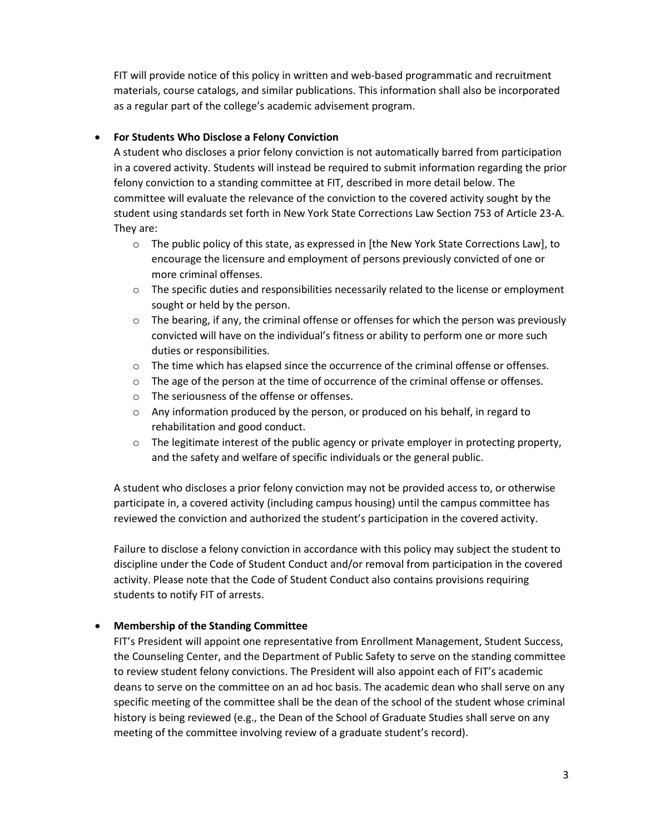FIT will provide notice of this policy in written and web-based programmatic and recruitment materials, course catalogs, and similar publications. This information shall also be incorporated as a regular part of the college's academic advisement program.

#### • **For Students Who Disclose a Felony Conviction**

A student who discloses a prior felony conviction is not automatically barred from participation in a covered activity. Students will instead be required to submit information regarding the prior felony conviction to a standing committee at FIT, described in more detail below. The committee will evaluate the relevance of the conviction to the covered activity sought by the student using standards set forth in New York State Corrections Law Section 753 of Article 23-A. They are:

- o The public policy of this state, as expressed in [the New York State Corrections Law], to encourage the licensure and employment of persons previously convicted of one or more criminal offenses.
- $\circ$  The specific duties and responsibilities necessarily related to the license or employment sought or held by the person.
- $\circ$  The bearing, if any, the criminal offense or offenses for which the person was previously convicted will have on the individual's fitness or ability to perform one or more such duties or responsibilities.
- $\circ$  The time which has elapsed since the occurrence of the criminal offense or offenses.
- $\circ$  The age of the person at the time of occurrence of the criminal offense or offenses.
- o The seriousness of the offense or offenses.
- $\circ$  Any information produced by the person, or produced on his behalf, in regard to rehabilitation and good conduct.
- $\circ$  The legitimate interest of the public agency or private employer in protecting property, and the safety and welfare of specific individuals or the general public.

A student who discloses a prior felony conviction may not be provided access to, or otherwise participate in, a covered activity (including campus housing) until the campus committee has reviewed the conviction and authorized the student's participation in the covered activity.

Failure to disclose a felony conviction in accordance with this policy may subject the student to discipline under the Code of Student Conduct and/or removal from participation in the covered activity. Please note that the Code of Student Conduct also contains provisions requiring students to notify FIT of arrests.

#### • **Membership of the Standing Committee**

FIT's President will appoint one representative from Enrollment Management, Student Success, the Counseling Center, and the Department of Public Safety to serve on the standing committee to review student felony convictions. The President will also appoint each of FIT's academic deans to serve on the committee on an ad hoc basis. The academic dean who shall serve on any specific meeting of the committee shall be the dean of the school of the student whose criminal history is being reviewed (e.g., the Dean of the School of Graduate Studies shall serve on any meeting of the committee involving review of a graduate student's record).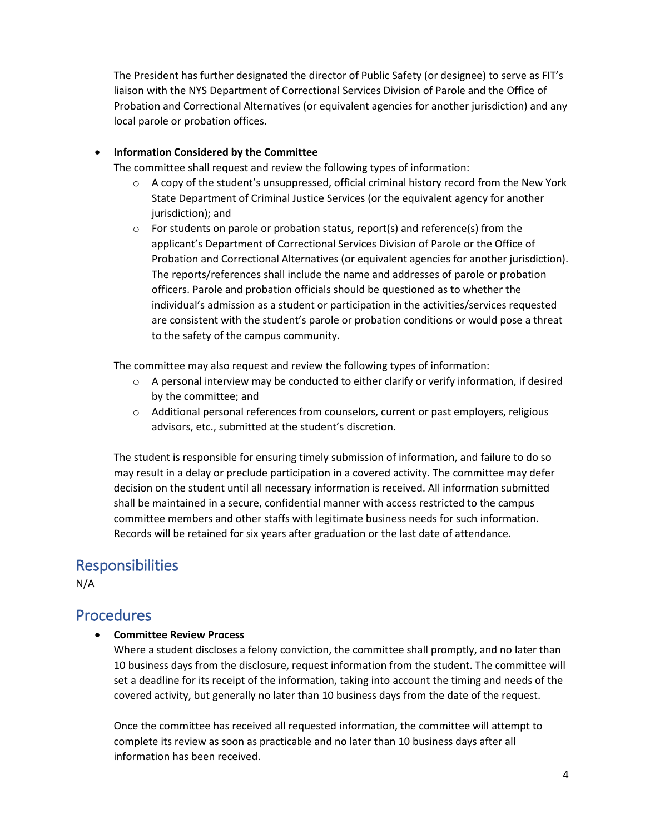The President has further designated the director of Public Safety (or designee) to serve as FIT's liaison with the NYS Department of Correctional Services Division of Parole and the Office of Probation and Correctional Alternatives (or equivalent agencies for another jurisdiction) and any local parole or probation offices.

#### • **Information Considered by the Committee**

The committee shall request and review the following types of information:

- $\circ$  A copy of the student's unsuppressed, official criminal history record from the New York State Department of Criminal Justice Services (or the equivalent agency for another jurisdiction); and
- $\circ$  For students on parole or probation status, report(s) and reference(s) from the applicant's Department of Correctional Services Division of Parole or the Office of Probation and Correctional Alternatives (or equivalent agencies for another jurisdiction). The reports/references shall include the name and addresses of parole or probation officers. Parole and probation officials should be questioned as to whether the individual's admission as a student or participation in the activities/services requested are consistent with the student's parole or probation conditions or would pose a threat to the safety of the campus community.

The committee may also request and review the following types of information:

- $\circ$  A personal interview may be conducted to either clarify or verify information, if desired by the committee; and
- o Additional personal references from counselors, current or past employers, religious advisors, etc., submitted at the student's discretion.

The student is responsible for ensuring timely submission of information, and failure to do so may result in a delay or preclude participation in a covered activity. The committee may defer decision on the student until all necessary information is received. All information submitted shall be maintained in a secure, confidential manner with access restricted to the campus committee members and other staffs with legitimate business needs for such information. Records will be retained for six years after graduation or the last date of attendance.

## Responsibilities

N/A

### **Procedures**

• **Committee Review Process**

Where a student discloses a felony conviction, the committee shall promptly, and no later than 10 business days from the disclosure, request information from the student. The committee will set a deadline for its receipt of the information, taking into account the timing and needs of the covered activity, but generally no later than 10 business days from the date of the request.

Once the committee has received all requested information, the committee will attempt to complete its review as soon as practicable and no later than 10 business days after all information has been received.